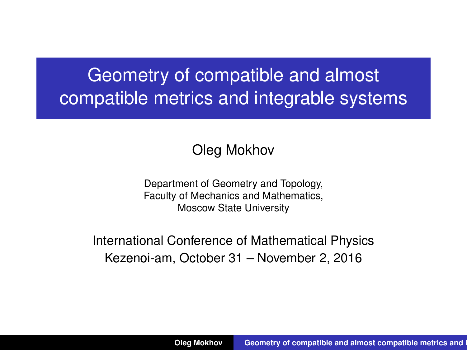## Geometry of compatible and almost compatible metrics and integrable systems

#### <span id="page-0-0"></span>Oleg Mokhov

Department of Geometry and Topology, Faculty of Mechanics and Mathematics, Moscow State University

International Conference of Mathematical Physics Kezenoi-am, October 31 – November 2, 2016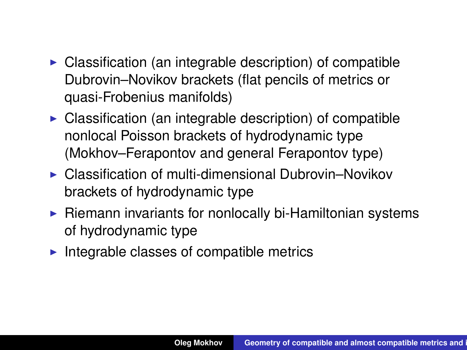- $\triangleright$  Classification (an integrable description) of compatible Dubrovin–Novikov brackets (flat pencils of metrics or quasi-Frobenius manifolds)
- $\triangleright$  Classification (an integrable description) of compatible nonlocal Poisson brackets of hydrodynamic type (Mokhov–Ferapontov and general Ferapontov type)
- $\triangleright$  Classification of multi-dimensional Dubrovin–Novikov brackets of hydrodynamic type
- $\triangleright$  Riemann invariants for nonlocally bi-Hamiltonian systems of hydrodynamic type
- $\blacktriangleright$  Integrable classes of compatible metrics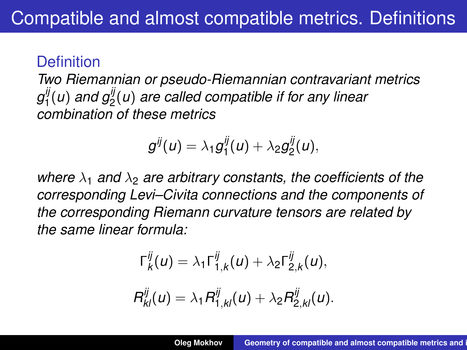### **Definition**

*Two Riemannian or pseudo-Riemannian contravariant metrics g ij* 1 (*u*) *and gij* 2 (*u*) *are called compatible if for any linear combination of these metrics*

$$
g^{ij}(u)=\lambda_1g_1^{ij}(u)+\lambda_2g_2^{ij}(u),
$$

*where*  $\lambda_1$  *and*  $\lambda_2$  *are arbitrary constants, the coefficients of the corresponding Levi–Civita connections and the components of the corresponding Riemann curvature tensors are related by the same linear formula:*

$$
\Gamma_k^{ij}(u) = \lambda_1 \Gamma_{1,k}^{ij}(u) + \lambda_2 \Gamma_{2,k}^{ij}(u),
$$
  

$$
R_{kl}^{ij}(u) = \lambda_1 R_{1,kl}^{ij}(u) + \lambda_2 R_{2,kl}^{ij}(u).
$$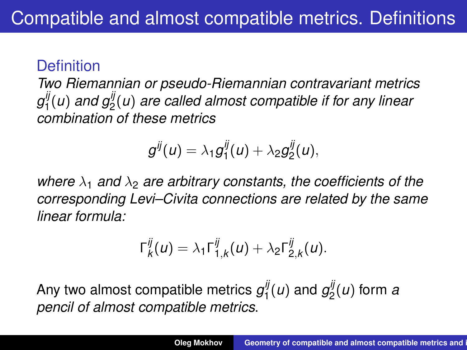### **Definition**

*Two Riemannian or pseudo-Riemannian contravariant metrics g ij* 1 (*u*) *and gij* 2 (*u*) *are called almost compatible if for any linear combination of these metrics*

$$
g^{ij}(u)=\lambda_1g_1^{ij}(u)+\lambda_2g_2^{ij}(u),
$$

*where*  $\lambda_1$  *and*  $\lambda_2$  *are arbitrary constants, the coefficients of the corresponding Levi–Civita connections are related by the same linear formula:*

$$
\Gamma_k^{ij}(u)=\lambda_1\Gamma_{1,k}^{ij}(u)+\lambda_2\Gamma_{2,k}^{ij}(u).
$$

Any two almost compatible metrics  $g_1^{ij}$  $g_1^{ij}(u)$  and  $g_2^{ij}$ 2 (*u*) form *a pencil of almost compatible metrics*.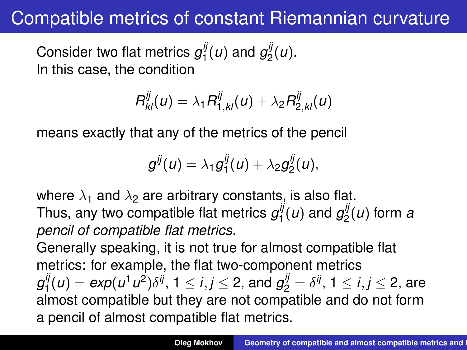### Compatible metrics of constant Riemannian curvature

Consider two flat metrics  $g_1^{ij}$  $g_1^{ij}(u)$  and  $g_2^{ij}$  $\frac{y}{2}(u).$ In this case, the condition

$$
R_{kl}^{ij}(u)=\lambda_1 R_{1,kl}^{ij}(u)+\lambda_2 R_{2,kl}^{ij}(u)
$$

means exactly that any of the metrics of the pencil

$$
g^{ij}(u)=\lambda_1g_1^{ij}(u)+\lambda_2g_2^{ij}(u),
$$

where  $\lambda_1$  and  $\lambda_2$  are arbitrary constants, is also flat. Thus, any two compatible flat metrics  $g_1^{ij}$  $g_1^{ij}(u)$  and  $g_2^{ij}$  $a_2^{\prime\prime}(u)$  form  $a$ *pencil of compatible flat metrics*.

Generally speaking, it is not true for almost compatible flat metrics: for example, the flat two-component metrics *g ij*  $\frac{d}{dt}(u) = exp(u^1u^2)\delta^{ij}, \ 1\leq i,j\leq 2,$  and  $g_2^{ij} = \delta^{ij}, \ 1\leq i,j\leq 2,$  are almost compatible but they are not compatible and do not form a pencil of almost compatible flat metrics.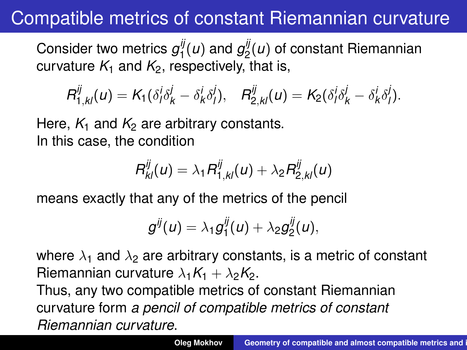## Compatible metrics of constant Riemannian curvature

Consider two metrics  $g_1^{ij}$  $g_1^{ij}(u)$  and  $g_2^{ij}$ 2 (*u*) of constant Riemannian curvature  $K_1$  and  $K_2$ , respectively, that is,

$$
R_{1,kl}^{ij}(u) = K_1(\delta_i^i \delta_k^j - \delta_k^i \delta_l^j), \quad R_{2,kl}^{ij}(u) = K_2(\delta_i^j \delta_k^j - \delta_k^i \delta_l^j).
$$

Here,  $K_1$  and  $K_2$  are arbitrary constants. In this case, the condition

$$
R_{kl}^{ij}(u)=\lambda_1 R_{1,kl}^{ij}(u)+\lambda_2 R_{2,kl}^{ij}(u)
$$

means exactly that any of the metrics of the pencil

$$
g^{ij}(u)=\lambda_1g_1^{ij}(u)+\lambda_2g_2^{ij}(u),
$$

where  $\lambda_1$  and  $\lambda_2$  are arbitrary constants, is a metric of constant Riemannian curvature  $\lambda_1 K_1 + \lambda_2 K_2$ .

Thus, any two compatible metrics of constant Riemannian curvature form *a pencil of compatible metrics of constant Riemannian curvature*.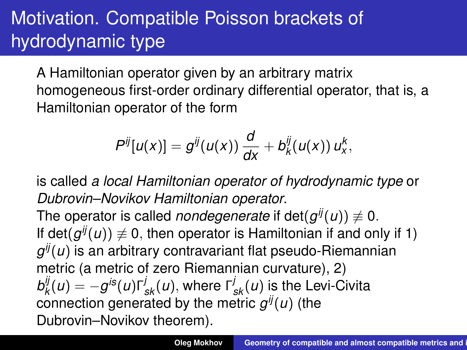# Motivation. Compatible Poisson brackets of hydrodynamic type

A Hamiltonian operator given by an arbitrary matrix homogeneous first-order ordinary differential operator, that is, a Hamiltonian operator of the form

$$
P^{ij}[u(x)] = g^{ij}(u(x))\frac{d}{dx} + b_k^{ij}(u(x))u_x^k,
$$

is called *a local Hamiltonian operator of hydrodynamic type* or *Dubrovin–Novikov Hamiltonian operator*.

The operator is called *nondegenerate* if  $\mathsf{det}(g^{ij}(u)) \not\equiv 0.$ If det $(g^{ij}(u)) \neq 0$ , then operator is Hamiltonian if and only if 1)  $g^{ij}(u)$  is an arbitrary contravariant flat pseudo-Riemannian metric (a metric of zero Riemannian curvature), 2) *b ij*  $\int_{k}^{ij}(u) = -g^{is}(u)$ Γ $\int_{sk}^{j}(u)$ , where Γ $\int_{sk}^{j}(u)$  is the Levi-Civita connection generated by the metric *g ij*(*u*) (the Dubrovin–Novikov theorem).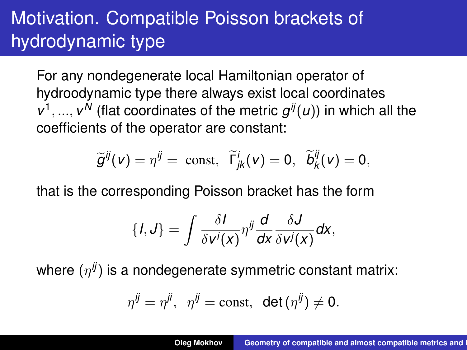# Motivation. Compatible Poisson brackets of hydrodynamic type

For any nondegenerate local Hamiltonian operator of hydroodynamic type there always exist local coordinates  $v^1, ..., v^N$  (flat coordinates of the metric  $g^{ij}(u)$ ) in which all the coefficients of the operator are constant:

$$
\widetilde{g}^{ij}(v) = \eta^{ij} = \text{ const}, \ \widetilde{\Gamma}_{jk}^{i}(v) = 0, \ \widetilde{b}_{k}^{ij}(v) = 0,
$$

that is the corresponding Poisson bracket has the form

$$
\{I,J\}=\int\frac{\delta I}{\delta v^i(x)}\eta^{ij}\frac{d}{dx}\frac{\delta J}{\delta v^j(x)}dx,
$$

where  $(\eta^{\it ij})$  is a nondegenerate symmetric constant matrix:

$$
\eta^{ij}=\eta^{ji}, \ \ \eta^{ij}=\text{const}, \ \ \text{det}\left(\eta^{ij}\right)\neq 0.
$$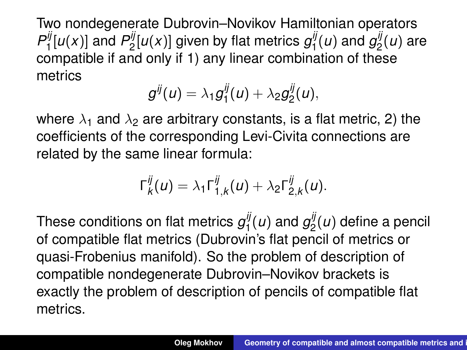Two nondegenerate Dubrovin–Novikov Hamiltonian operators  $P_1^{ij}[u(x)]$  and  $P_2^{ij}[u(x)]$  given by flat metrics  $g_1^{ij}(u)$  and  $g_2^{ij}(u)$  are  $\frac{1}{2}$  and  $\frac{1}{2}$  and  $\frac{1}{2}$  and  $\frac{1}{2}$  and  $\frac{1}{2}$  and  $\frac{1}{2}$  and  $\frac{1}{2}$  and  $\frac{1}{2}$  and  $\frac{1}{2}$  and  $\frac{1}{2}$  and  $\frac{1}{2}$  and  $\frac{1}{2}$  and  $\frac{1}{2}$  and  $\frac{1}{2}$  and  $\frac{1}{2}$  and  $\frac{1}{2}$  a metrics

$$
g^{ij}(u)=\lambda_1g_1^{ij}(u)+\lambda_2g_2^{ij}(u),
$$

where  $\lambda_1$  and  $\lambda_2$  are arbitrary constants, is a flat metric, 2) the coefficients of the corresponding Levi-Civita connections are related by the same linear formula:

$$
\Gamma_k^{ij}(u) = \lambda_1 \Gamma_{1,k}^{ij}(u) + \lambda_2 \Gamma_{2,k}^{ij}(u).
$$

These conditions on flat metrics  $g_1^{ij}$  $g_1^{ij}(u)$  and  $g_2^{ij}$  $\frac{a}{2}(u)$  define a pencil of compatible flat metrics (Dubrovin's flat pencil of metrics or quasi-Frobenius manifold). So the problem of description of compatible nondegenerate Dubrovin–Novikov brackets is exactly the problem of description of pencils of compatible flat metrics.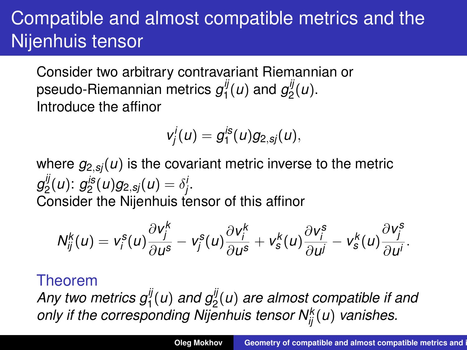Consider two arbitrary contravariant Riemannian or pseudo-Riemannian metrics  $g_1^{\bar y}$  $g_1^{ij}(u)$  and  $g_2^{ij}$  $\frac{y}{2}(u).$ Introduce the affinor

$$
v_j^i(u)=g_1^{is}(u)g_{2,sj}(u),
$$

where  $g_{2,sj}(u)$  is the covariant metric inverse to the metric *g ij*  $g_2^{ij}(u)$ :  $g_2^{is}(u)g_{2,sj}(u) = \delta_j^i$ . Consider the Nijenhuis tensor of this affinor

$$
N_{ij}^k(u) = v_i^s(u)\frac{\partial v_j^k}{\partial u^s} - v_j^s(u)\frac{\partial v_i^k}{\partial u^s} + v_s^k(u)\frac{\partial v_j^s}{\partial u^j} - v_s^k(u)\frac{\partial v_j^s}{\partial u^j}.
$$

#### Theorem

*Any two metrics gij* 1 (*u*) *and gij* 2 (*u*) *are almost compatible if and only if the corresponding Nijenhuis tensor N<sup>k</sup> ij* (*u*) *vanishes.*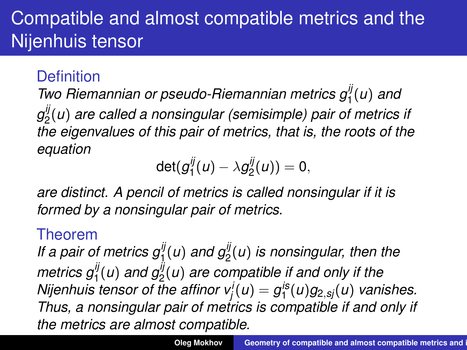### **Definition**

*Two Riemannian or pseudo-Riemannian metrics gij* 1 (*u*) *and g ij* 2 (*u*) *are called a nonsingular (semisimple) pair of metrics if the eigenvalues of this pair of metrics, that is, the roots of the equation*

$$
\det(g_1^{ij}(u)-\lambda g_2^{ij}(u))=0,
$$

*are distinct. A pencil of metrics is called nonsingular if it is formed by a nonsingular pair of metrics.*

### Theorem

*If a pair of metrics gij* 1 (*u*) *and gij* 2 (*u*) *is nonsingular, then the metrics gij* 1 (*u*) *and gij* 2 (*u*) *are compatible if and only if the Nijenhuis tensor of the affinor*  $v_j^i(u) = g_1^{is}(u)g_{2,sj}(u)$  *vanishes. Thus, a nonsingular pair of metrics is compatible if and only if the metrics are almost compatible.*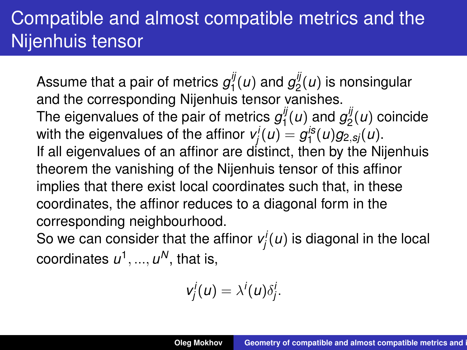Assume that a pair of metrics  $g_1^{\tilde{y}}$  $g_1^{ij}(u)$  and  $g_2^{ij}$  $2^{\prime\prime}(u)$  is nonsingular and the corresponding Nijenhuis tensor vanishes. The eigenvalues of the pair of metrics  $g_1^y$  $g_1^{ij}(u)$  and  $g_2^{ij}$  $2^{\prime\prime}(u)$  coincide with the eigenvalues of the affinor  $v_j^j(u) = g_1^{is}(u)g_{2,sj}(u)$ . If all eigenvalues of an affinor are distinct, then by the Nijenhuis theorem the vanishing of the Nijenhuis tensor of this affinor implies that there exist local coordinates such that, in these coordinates, the affinor reduces to a diagonal form in the corresponding neighbourhood.

So we can consider that the affinor  $v_j^i(u)$  is diagonal in the local coordinates  $\boldsymbol{\mathit{u}}^1, ..., \boldsymbol{\mathit{u}}^N,$  that is,

$$
v_j^i(u)=\lambda^i(u)\delta_j^i.
$$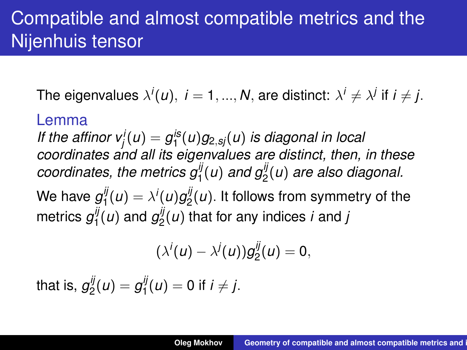The eigenvalues  $\lambda^j(u),\; i=1,...,N,$  are distinct:  $\lambda^i\neq \lambda^j$  if  $i\neq j.$ 

#### Lemma

*If the affinor*  $v_j^l(u) = g_1^{is}(u)g_{2,sj}(u)$  *is diagonal in local coordinates and all its eigenvalues are distinct, then, in these* coordinates, the metrics  $g_1^{ij}(u)$  and  $g_2^{ij}(u)$  are also diagonal. We have  $g_1^{ij}$  $\lambda^i_1(u) = \lambda^i(u)g^{ij}_2$  $2^{\prime\prime}(u)$ . It follows from symmetry of the metrics  $g_1^{ij}$  $g_1^{ij}(u)$  and  $g_2^{ij}$ 2 (*u*) that for any indices *i* and *j*

$$
(\lambda^{i}(u)-\lambda^{j}(u))g_{2}^{ij}(u)=0,
$$

that is,  $g_2^{ij}$  $g_2^{ij}(u)=g_1^{ij}$  $J_1^y(u) = 0$  if  $i \neq j$ .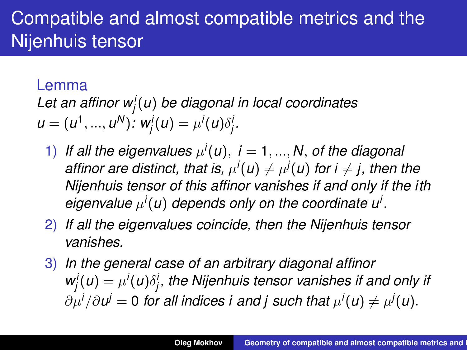#### Lemma

*Let an affinor w<sup>i</sup> j* (*u*) *be diagonal in local coordinates*  $u = (u^1, ..., u^N)$ :  $w_j'(u) = \mu^i(u)\delta_j'$ .

- 1) If all the eigenvalues  $\mu^{i}(u)$ ,  $i = 1, ..., N$ , of the diagonal  $a$ *ffinor are distinct, that is,*  $\mu^{i}(u) \neq \mu^{j}(u)$  *for i*  $\neq$  *j, then the Nijenhuis tensor of this affinor vanishes if and only if the ith*  $e$ *igenvalue*  $\mu^{i}(u)$  *depends only on the coordinate u<sup>i</sup>*.
- 2) *If all the eigenvalues coincide, then the Nijenhuis tensor vanishes.*
- 3) *In the general case of an arbitrary diagonal affinor*  $w_j^i(u) = \mu^i(u)\delta_j^i,$  the Nijenhuis tensor vanishes if and only if  $\partial \mu^i/\partial \bm{\nu}^j = \bm{0}$  for all indices i and j such that  $\mu^j(\bm{\mu}) \neq \mu^j(\bm{\mu})$ .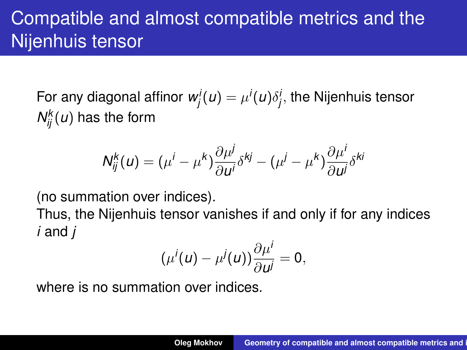For any diagonal affinor  $w_j^j(u) = \mu^i(u) \delta_j^i,$  the Nijenhuis tensor  $N_{ij}^k(u)$  has the form

$$
N_{ij}^k(u) = (\mu^i - \mu^k) \frac{\partial \mu^j}{\partial u^i} \delta^{kj} - (\mu^j - \mu^k) \frac{\partial \mu^i}{\partial u^j} \delta^{ki}
$$

(no summation over indices).

Thus, the Nijenhuis tensor vanishes if and only if for any indices *i* and *j*

$$
(\mu^{i}(u)-\mu^{j}(u))\frac{\partial \mu^{i}}{\partial u^{j}}=0,
$$

where is no summation over indices.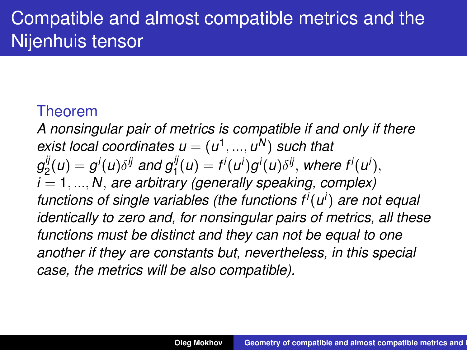### Theorem

*A nonsingular pair of metrics is compatible if and only if there*  $$ *g ij*  $g^{ij}(u) = g^i(u)\delta^{ij}$  and  $g^{ij}_1(u) = f^i(u^i)g^i(u)\delta^{ij},$  where  $f^i(u^i),$ *i* = 1, ..., *N*, *are arbitrary (generally speaking, complex) functions of single variables (the functions f<sup>i</sup>* (*u i* ) *are not equal identically to zero and, for nonsingular pairs of metrics, all these functions must be distinct and they can not be equal to one another if they are constants but, nevertheless, in this special case, the metrics will be also compatible).*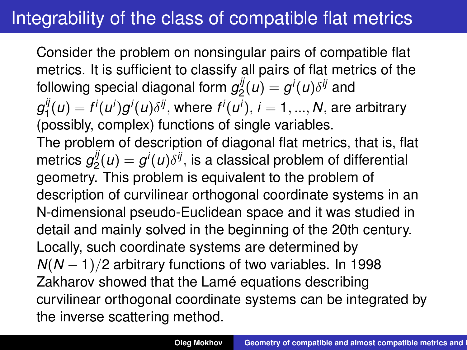Consider the problem on nonsingular pairs of compatible flat metrics. It is sufficient to classify all pairs of flat metrics of the following special diagonal form  $g_2^{\tilde{y}}$  $g_{2}^{\prime \prime }(u)=g^{\prime }(u)\delta ^{ij}$  and *g ij*  $f_1^{ij}(u) = f^i(u^i)g^i(u)\delta^{ij}$ , where  $f^i(u^i)$ ,  $i = 1,...,N$ , are arbitrary (possibly, complex) functions of single variables. The problem of description of diagonal flat metrics, that is, flat metrics *g ij*  $g^{\prime\prime}(u)=g^{\prime}(u)\delta^{\prime\prime}$ , is a classical problem of differential geometry. This problem is equivalent to the problem of description of curvilinear orthogonal coordinate systems in an N-dimensional pseudo-Euclidean space and it was studied in detail and mainly solved in the beginning of the 20th century. Locally, such coordinate systems are determined by *N*(*N* − 1)/2 arbitrary functions of two variables. In 1998 Zakharov showed that the Lamé equations describing curvilinear orthogonal coordinate systems can be integrated by the inverse scattering method.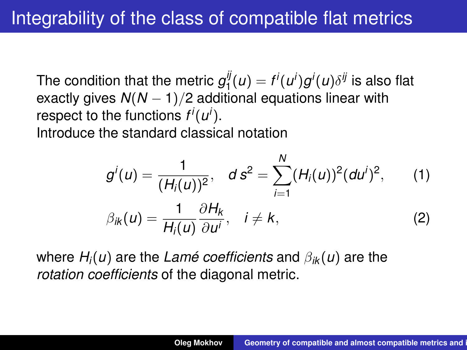The condition that the metric  $g_1^{ij}$  $\int_1^y (u) = f^i(u^i) g^i(u) \delta^{ij}$  is also flat exactly gives *N*(*N* − 1)/2 additional equations linear with respect to the functions  $f^i(u^i)$ . Introduce the standard classical notation

$$
g^{i}(u) = \frac{1}{(H_{i}(u))^{2}}, \quad d s^{2} = \sum_{i=1}^{N} (H_{i}(u))^{2} (du^{i})^{2}, \quad (1)
$$
  

$$
\beta_{ik}(u) = \frac{1}{H_{i}(u)} \frac{\partial H_{k}}{\partial u^{i}}, \quad i \neq k, \quad (2)
$$

where *Hi*(*u*) are the *Lamé coefficients* and β*ik* (*u*) are the *rotation coefficients* of the diagonal metric.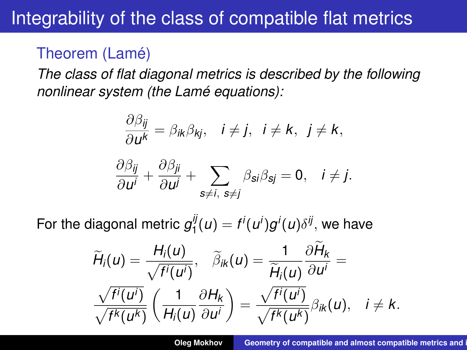### Theorem (Lamé)

*The class of flat diagonal metrics is described by the following nonlinear system (the Lamé equations):*

$$
\frac{\partial \beta_{ij}}{\partial u^k} = \beta_{ik}\beta_{kj}, \quad i \neq j, \quad i \neq k, \quad j \neq k,
$$

$$
\frac{\partial \beta_{ij}}{\partial u^i} + \frac{\partial \beta_{ji}}{\partial u^j} + \sum_{s \neq i, \ s \neq j} \beta_{si}\beta_{sj} = 0, \quad i \neq j.
$$

For the diagonal metric  $g_1^{i_j}$  $f_1^{ij}(u) = f^i(u^i)g^i(u)\delta^{ij},$  we have

$$
\widetilde{H}_{i}(u) = \frac{H_{i}(u)}{\sqrt{f^{i}(u^{i})}}, \quad \widetilde{\beta}_{ik}(u) = \frac{1}{\widetilde{H}_{i}(u)}\frac{\partial H_{k}}{\partial u^{i}} = \frac{\sqrt{f^{i}(u^{i})}}{\sqrt{f^{k}(u^{k})}}\left(\frac{1}{H_{i}(u)}\frac{\partial H_{k}}{\partial u^{i}}\right) = \frac{\sqrt{f^{i}(u^{i})}}{\sqrt{f^{k}(u^{k})}}\beta_{ik}(u), \quad i \neq k.
$$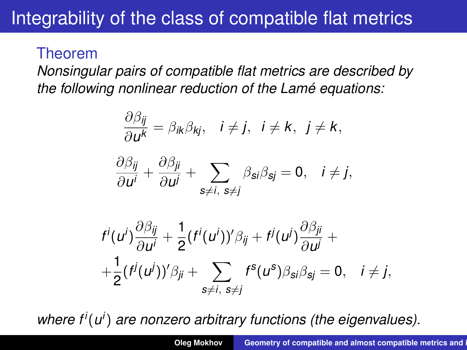#### Theorem

*Nonsingular pairs of compatible flat metrics are described by the following nonlinear reduction of the Lamé equations:*

$$
\frac{\partial \beta_{ij}}{\partial u^k} = \beta_{ik}\beta_{kj}, \quad i \neq j, \quad i \neq k, \quad j \neq k,
$$

$$
\frac{\partial \beta_{ij}}{\partial u^i} + \frac{\partial \beta_{ji}}{\partial u^j} + \sum_{s \neq i, \ s \neq j} \beta_{si}\beta_{sj} = 0, \quad i \neq j,
$$

$$
f^i(u^i)\frac{\partial \beta_{ij}}{\partial u^i} + \frac{1}{2}(f^i(u^i))'\beta_{ij} + f^j(u^j)\frac{\partial \beta_{ji}}{\partial u^j} + \\ + \frac{1}{2}(f^j(u^j))'\beta_{ji} + \sum_{s \neq i, s \neq j} f^s(u^s)\beta_{si}\beta_{sj} = 0, \quad i \neq j,
$$

*where f<sup>i</sup>* (*u i* ) *are nonzero arbitrary functions (the eigenvalues).*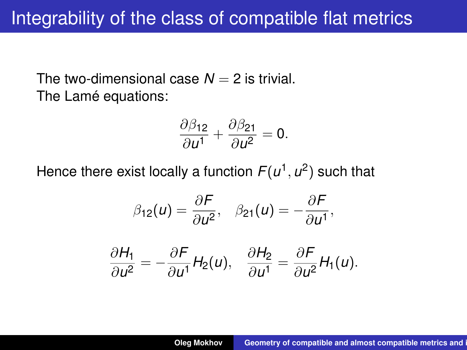The two-dimensional case  $N = 2$  is trivial. The Lamé equations:

$$
\frac{\partial \beta_{12}}{\partial u^1} + \frac{\partial \beta_{21}}{\partial u^2} = 0.
$$

Hence there exist locally a function  $F(u^1, u^2)$  such that

$$
\beta_{12}(u) = \frac{\partial F}{\partial u^2}, \quad \beta_{21}(u) = -\frac{\partial F}{\partial u^1},
$$

$$
\frac{\partial H_1}{\partial u^2} = -\frac{\partial F}{\partial u^1} H_2(u), \quad \frac{\partial H_2}{\partial u^1} = \frac{\partial F}{\partial u^2} H_1(u).
$$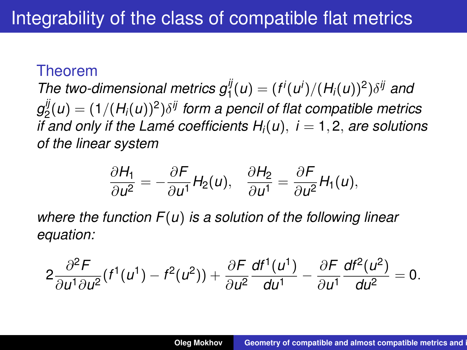#### Theorem

*The two-dimensional metrics*  $g_1^{ij}(u) = (f^i(u^i)/(H_i(u))^2)\delta^{ij}$  *and g ij*  $\mathcal{L}_2^{ij}(u) = (1/(H_i(u))^2) \delta^{ij}$  form a pencil of flat compatible metrics *if and only if the Lamé coefficients*  $H_i(u)$ *,*  $i = 1, 2$ *, are solutions of the linear system*

$$
\frac{\partial H_1}{\partial u^2} = -\frac{\partial F}{\partial u^1} H_2(u), \quad \frac{\partial H_2}{\partial u^1} = \frac{\partial F}{\partial u^2} H_1(u),
$$

*where the function F*(*u*) *is a solution of the following linear equation:*

$$
2\frac{\partial^2 F}{\partial u^1 \partial u^2}(f^1(u^1)-f^2(u^2))+\frac{\partial F}{\partial u^2}\frac{df^1(u^1)}{du^1}-\frac{\partial F}{\partial u^1}\frac{df^2(u^2)}{du^2}=0.
$$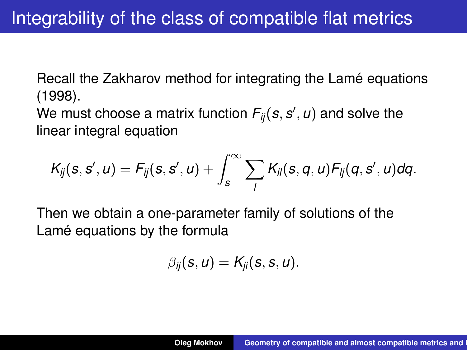Recall the Zakharov method for integrating the Lamé equations (1998).

We must choose a matrix function  $F_{ij}(s,s',\omega)$  and solve the linear integral equation

$$
K_{ij}(s,s',u)=F_{ij}(s,s',u)+\int_s^{\infty}\sum_lK_{il}(s,q,u)F_{lj}(q,s',u)dq.
$$

Then we obtain a one-parameter family of solutions of the Lamé equations by the formula

$$
\beta_{ij}(s, u) = K_{ji}(s, s, u).
$$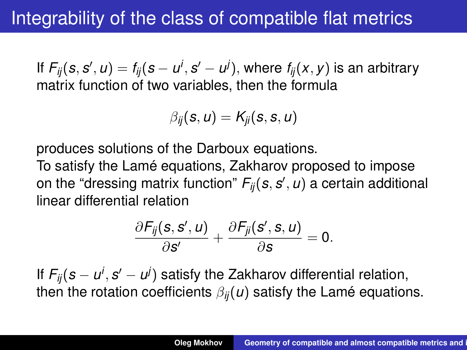If  $F_{ij}(\bm{s},\bm{s}',\bm{\omega})=f_{ij}(\bm{s}-\bm{\omega}^i,\bm{s}'-\bm{\omega}^j),$  where  $f_{ij}(x,y)$  is an arbitrary matrix function of two variables, then the formula

$$
\beta_{ij}(s, u) = K_{ji}(s, s, u)
$$

produces solutions of the Darboux equations.

To satisfy the Lamé equations, Zakharov proposed to impose on the "dressing matrix function"  $F_{ij}(\bm{s},\bm{s}',\bm{\omega})$  a certain additional linear differential relation

$$
\frac{\partial F_{ij}(s,s',u)}{\partial s'}+\frac{\partial F_{ji}(s',s,u)}{\partial s}=0.
$$

If  $F_{ij}(s-u^i,s'-u^j)$  satisfy the Zakharov differential relation, then the rotation coefficients  $\beta_{ii}(u)$  satisfy the Lamé equations.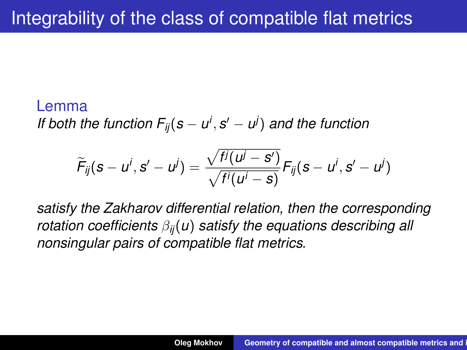#### Lemma

*If both the function*  $F_{ij}(s - u^i, s' - u^j)$  *and the function* 

$$
\widetilde{F}_{ij}(s-u^i,s'-u^j)=\frac{\sqrt{f^j(u^j-s')}}{\sqrt{f^i(u^i-s)}}F_{ij}(s-u^i,s'-u^j)
$$

*satisfy the Zakharov differential relation, then the corresponding rotation coefficients* β*ij*(*u*) *satisfy the equations describing all nonsingular pairs of compatible flat metrics.*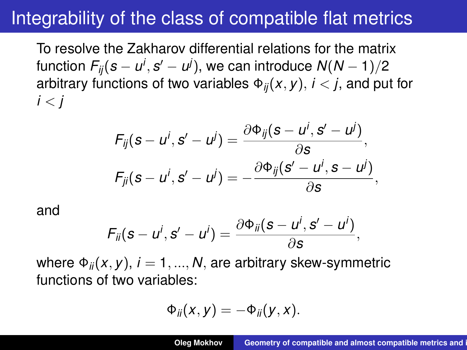To resolve the Zakharov differential relations for the matrix function  $F_{ij}(s-u^i,s^{\prime}-u^j),$  we can introduce  $\mathcal{N}(N-1)/2$ arbitrary functions of two variables  $\Phi_{ii}(x, y)$ ,  $i < j$ , and put for  $i < i$ 

$$
F_{ij}(s-u^i,s'-u^j)=\frac{\partial \Phi_{ij}(s-u^i,s'-u^j)}{\partial s},
$$
  

$$
F_{ji}(s-u^i,s'-u^j)=-\frac{\partial \Phi_{ij}(s'-u^i,s-u^j)}{\partial s},
$$

and

$$
F_{ii}(\mathbf{s}-u^i,\mathbf{s}'-u^i)=\frac{\partial \Phi_{ii}(\mathbf{s}-u^i,\mathbf{s}'-u^i)}{\partial \mathbf{s}},
$$

where  $\Phi_{ii}(x, y)$ ,  $i = 1, ..., N$ , are arbitrary skew-symmetric functions of two variables:

$$
\Phi_{ii}(x,y)=-\Phi_{ii}(y,x).
$$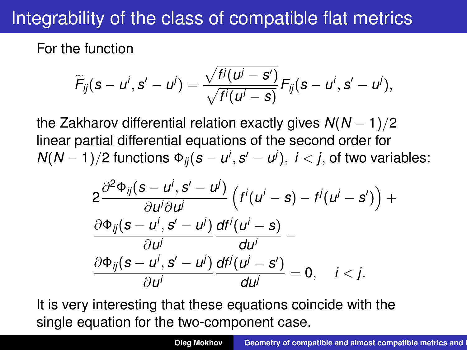For the function

$$
\widetilde{F}_{ij}(s-u^i,s'-u^j)=\frac{\sqrt{f^j(u^j-s')}}{\sqrt{f^i(u^i-s)}}F_{ij}(s-u^i,s'-u^j),
$$

the Zakharov differential relation exactly gives *N*(*N* − 1)/2 linear partial differential equations of the second order for  $N(N-1)/2$  functions  $\Phi_{ij}(\boldsymbol{s}-\boldsymbol{u}^{i},\boldsymbol{s}^{i}-\boldsymbol{u}^{j}),\;i< j,$  of two variables:

$$
\begin{aligned} &2\frac{\partial^2\Phi_{ij}(s-u^i,s'-u^j)}{\partial u^i\partial u^j}\left(f^i(u^i-s)-f^j(u^j-s')\right)+\\ &\frac{\partial\Phi_{ij}(s-u^i,s'-u^j)}{\partial u^j}\frac{df^i(u^i-s)}{du^i}-\\ &\frac{\partial\Phi_{ij}(s-u^i,s'-u^j)}{\partial u^i}\frac{df^j(u^j-s')}{du^j}=0,\quad i
$$

It is very interesting that these equations coincide with the single equation for the two-component case.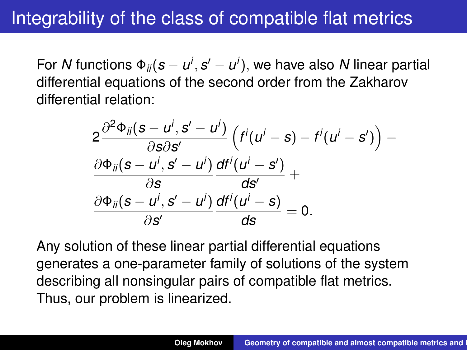For *N* functions  $\Phi_{ii}(\boldsymbol{s}-\boldsymbol{u}^i,\boldsymbol{s}'-\boldsymbol{u}^i),$  we have also *N* linear partial differential equations of the second order from the Zakharov differential relation:

$$
\begin{aligned} &2\frac{\partial^2\Phi_{ii}(s-u^i,s'-u^i)}{\partial s\partial s'}\left(f^i(u^i-s)-f^i(u^i-s')\right)-\\ &\frac{\partial\Phi_{ii}(s-u^i,s'-u^i)}{\partial s}\frac{df^i(u^i-s')}{ds'}+\\ &\frac{\partial\Phi_{ii}(s-u^i,s'-u^i)}{\partial s'}\frac{df^i(u^i-s)}{ds}=0.\end{aligned}
$$

Any solution of these linear partial differential equations generates a one-parameter family of solutions of the system describing all nonsingular pairs of compatible flat metrics. Thus, our problem is linearized.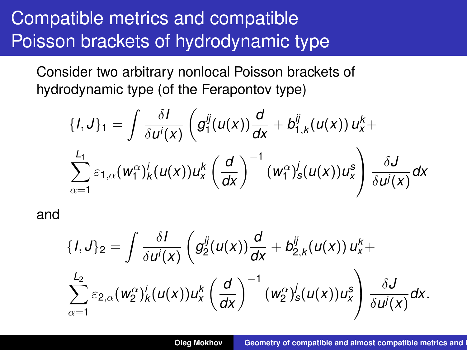# Compatible metrics and compatible Poisson brackets of hydrodynamic type

Consider two arbitrary nonlocal Poisson brackets of hydrodynamic type (of the Ferapontov type)

$$
\{I,J\}_1 = \int \frac{\delta I}{\delta u^i(x)} \left( g_1^{ij}(u(x)) \frac{d}{dx} + b_{1,k}^{ij}(u(x)) u_x^k + \sum_{\alpha=1}^{L_1} \varepsilon_{1,\alpha}(w_1^{\alpha})_k^i(u(x)) u_x^k \left( \frac{d}{dx} \right)^{-1} (w_1^{\alpha})_s^j(u(x)) u_x^s \right) \frac{\delta J}{\delta u^j(x)} dx
$$

and

$$
{I,J\}_2=\int \frac{\delta I}{\delta u^i(x)}\left(g_2^{ij}(u(x))\frac{d}{dx}+b_{2,k}^{ij}(u(x))u_x^k+\right.\newline\sum_{\alpha=1}^{L_2}\varepsilon_{2,\alpha}(w_2^{\alpha})_k^i(u(x))u_x^k\left(\frac{d}{dx}\right)^{-1}(w_2^{\alpha})_s^j(u(x))u_x^s\right)\frac{\delta J}{\delta u^j(x)}dx.
$$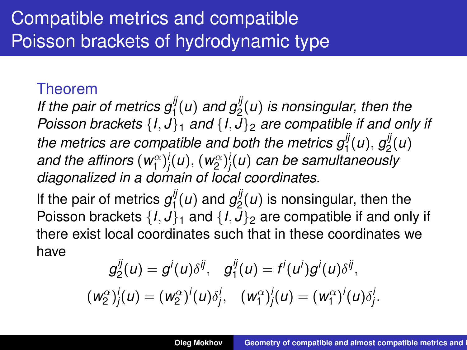# Compatible metrics and compatible Poisson brackets of hydrodynamic type

#### Theorem

If the pair of metrics  $g_1^{\parallel}(u)$  and  $g_2^{\parallel}(u)$  is nonsingular, then the *Poisson brackets* {*I*, *J*}<sup>1</sup> *and* {*I*, *J*}<sup>2</sup> *are compatible if and only if* the metrics are compatible and both the metrics  $g_1^{ij}(u)$ ,  $g_2^{ij}$  $\frac{y}{2}(u)$ and the affinors  $(w_{1}^{\alpha})^{i}_{j}(u),$   $(w_{2}^{\alpha})^{i}_{j}(u)$  can be samultaneously *diagonalized in a domain of local coordinates.*

If the pair of metrics  $g_1^{ij}$  $g_1^{ij}(u)$  and  $g_2^{ij}$  $\mathbb{Z}_2^{\prime\prime}(u)$  is nonsingular, then the Poisson brackets  $\{I, J\}_1$  and  $\{I, J\}_2$  are compatible if and only if there exist local coordinates such that in these coordinates we have

$$
g_2^{ij}(u) = g^i(u)\delta^{ij}, \quad g_1^{ij}(u) = f^i(u^i)g^i(u)\delta^{ij},
$$
  
\n
$$
(w_2^{\alpha})_j^i(u) = (w_2^{\alpha})^i(u)\delta_j^i, \quad (w_1^{\alpha})_j^i(u) = (w_1^{\alpha})^i(u)\delta_j^i.
$$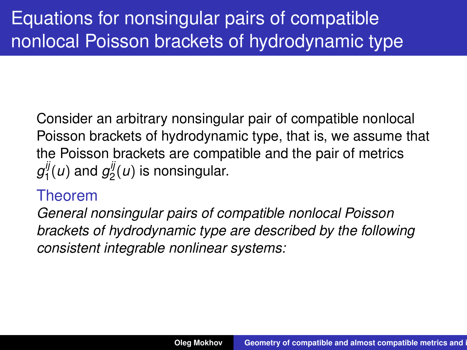Consider an arbitrary nonsingular pair of compatible nonlocal Poisson brackets of hydrodynamic type, that is, we assume that the Poisson brackets are compatible and the pair of metrics *g ij*  $g_1^{ij}(u)$  and  $g_2^{ij}$  $2^{\prime\prime}(u)$  is nonsingular.

#### Theorem

*General nonsingular pairs of compatible nonlocal Poisson brackets of hydrodynamic type are described by the following consistent integrable nonlinear systems:*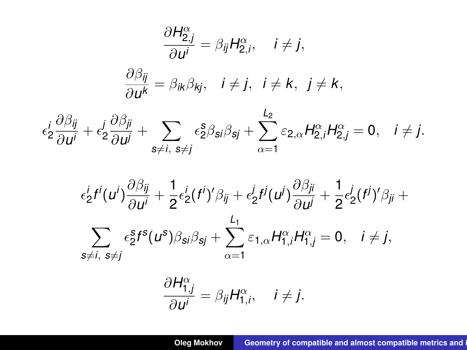$$
\frac{\partial H_{2,j}^{\alpha}}{\partial u^{i}} = \beta_{ij} H_{2,i}^{\alpha}, \quad i \neq j,
$$
\n
$$
\frac{\partial \beta_{ij}}{\partial u^{k}} = \beta_{ik} \beta_{kj}, \quad i \neq j, \quad i \neq k, \quad j \neq k,
$$
\n
$$
\epsilon_{2}^{i} \frac{\partial \beta_{ij}}{\partial u^{i}} + \epsilon_{2}^{j} \frac{\partial \beta_{ji}}{\partial u^{j}} + \sum_{s \neq i, s \neq j} \epsilon_{2}^{s} \beta_{si} \beta_{sj} + \sum_{\alpha=1}^{L_{2}} \epsilon_{2,\alpha} H_{2,i}^{\alpha} H_{2,j}^{\alpha} = 0, \quad i \neq j.
$$
\n
$$
\epsilon_{2}^{i} f^{i}(u^{i}) \frac{\partial \beta_{ij}}{\partial u^{i}} + \frac{1}{2} \epsilon_{2}^{i}(f^{i})^{\prime} \beta_{ij} + \epsilon_{2}^{j} f^{j}(u^{j}) \frac{\partial \beta_{ji}}{\partial u^{j}} + \frac{1}{2} \epsilon_{2}^{i}(f^{j})^{\prime} \beta_{ji} + \sum_{L_{1}}^{L_{1}} \epsilon_{2}^{i}(f^{j})^{\prime} \beta_{ij} + \sum_{L_{2}}^{L_{2}} \epsilon_{2}^{i}(f^{j})^{\prime} \beta_{ij} + \sum_{L_{1}}^{L_{2}} \epsilon_{2}^{i}(f^{j})^{\prime} \beta_{ij} + \sum_{L_{2}}^{L_{2}} \epsilon_{2}^{i}(f^{j})^{\prime} \beta_{ij} + \sum_{L_{1}}^{L_{1}} \epsilon_{2}^{i}(f^{j})^{\prime} \beta_{ij} + \sum_{L_{2}}^{L_{2}} \epsilon_{2}^{i}(f^{j})^{\prime} \beta_{ij} + \sum_{L_{1}}^{L_{2}} \epsilon_{2}^{i}(f^{j})^{\prime} \beta_{ij} + \sum_{L_{2}}^{L_{2}} \epsilon_{2}^{i}(f^{j})^{\prime} \beta_{ij} + \sum_{L_{1}}^{L_{2}} \epsilon_{2}^{i}(f^{j})^{\prime} \beta_{ij} + \sum_{L_{2}}^{L_{2}} \epsilon_{2}^{i}(f^{j})^{\prime} \beta_{ij} + \sum_{L_{1}}^{L_{2}} \epsilon_{2}^{i}(f^{j})^{\prime} \beta_{ij} + \sum_{L_{2}}^{L_{2}} \epsilon_{2
$$

$$
\sum_{s\neq i, s\neq j}\epsilon_2^s f^s(u^s)\beta_{si}\beta_{sj}+\sum_{\alpha=1}\varepsilon_{1,\alpha}H_{1,i}^\alpha H_{1,j}^\alpha=0, \quad i\neq j,
$$

$$
\frac{\partial H_{1,j}^{\alpha}}{\partial u^i} = \beta_{ij} H_{1,i}^{\alpha}, \quad i \neq j.
$$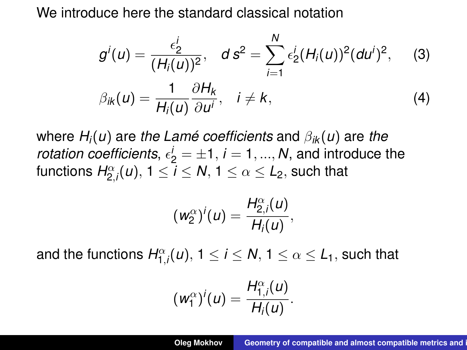We introduce here the standard classical notation

$$
g^{i}(u) = \frac{\epsilon_{2}^{i}}{(H_{i}(u))^{2}}, \quad d s^{2} = \sum_{i=1}^{N} \epsilon_{2}^{i} (H_{i}(u))^{2} (du^{i})^{2}, \quad (3)
$$

$$
\beta_{ik}(u) = \frac{1}{H_{i}(u)} \frac{\partial H_{k}}{\partial u^{i}}, \quad i \neq k, \quad (4)
$$

where *Hi*(*u*) are *the Lamé coefficients* and β*ik* (*u*) are *the rotation coefficients,*  $\epsilon_2^j = \pm 1$ ,  $i = 1, ..., N$ , and introduce the functions  $H_{2,i}^{\alpha}(u),\, 1\leq i\leq \mathsf{N},\, 1\leq \alpha\leq \mathsf{L}_2,$  such that

$$
(w_2^{\alpha})^i(u)=\frac{H_{2,i}^{\alpha}(u)}{H_i(u)},
$$

and the functions  $H_{1,i}^{\alpha}(u),\, 1\leq i\leq N,\, 1\leq \alpha\leq L_1,$  such that

$$
(w_1^{\alpha})^i(u)=\frac{H_{1,i}^{\alpha}(u)}{H_i(u)}.
$$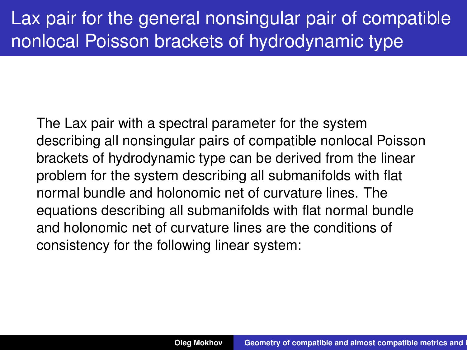# Lax pair for the general nonsingular pair of compatible nonlocal Poisson brackets of hydrodynamic type

The Lax pair with a spectral parameter for the system describing all nonsingular pairs of compatible nonlocal Poisson brackets of hydrodynamic type can be derived from the linear problem for the system describing all submanifolds with flat normal bundle and holonomic net of curvature lines. The equations describing all submanifolds with flat normal bundle and holonomic net of curvature lines are the conditions of consistency for the following linear system: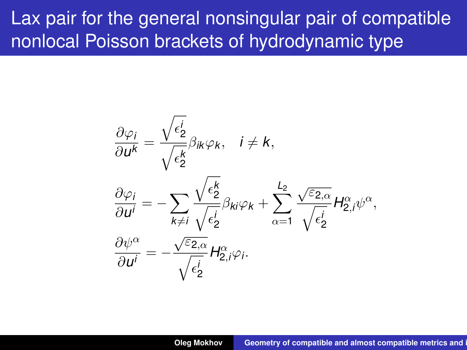## Lax pair for the general nonsingular pair of compatible nonlocal Poisson brackets of hydrodynamic type

$$
\begin{aligned}\n\frac{\partial \varphi_i}{\partial u^k} &= \frac{\sqrt{\epsilon_2^i}}{\sqrt{\epsilon_2^k}} \beta_{ik} \varphi_k, \quad i \neq k, \\
\frac{\partial \varphi_i}{\partial u^i} &= -\sum_{k \neq i} \frac{\sqrt{\epsilon_2^k}}{\sqrt{\epsilon_2^i}} \beta_{ki} \varphi_k + \sum_{\alpha=1}^{L_2} \frac{\sqrt{\epsilon_{2,\alpha}}}{\sqrt{\epsilon_2^i}} H_{2,i}^{\alpha} \psi^{\alpha}, \\
\frac{\partial \psi^{\alpha}}{\partial u^i} &= -\frac{\sqrt{\epsilon_{2,\alpha}}}{\sqrt{\epsilon_2^i}} H_{2,i}^{\alpha} \varphi_i.\n\end{aligned}
$$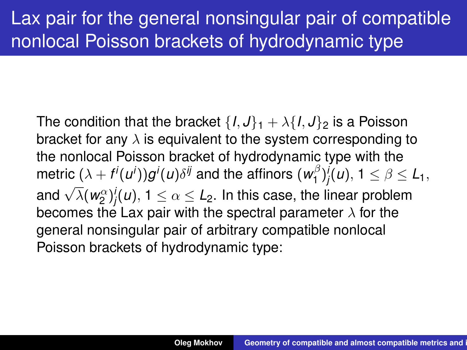# Lax pair for the general nonsingular pair of compatible nonlocal Poisson brackets of hydrodynamic type

The condition that the bracket  $\{I, J\}_1 + \lambda \{I, J\}_2$  is a Poisson bracket for any  $\lambda$  is equivalent to the system corresponding to the nonlocal Poisson bracket of hydrodynamic type with the metric  $(\lambda + f^{i}(u^{i}))g^{i}(u)\delta^{ij}$  and the affinors ( $w^{\beta}_{1}$  $\binom{16}{1}$  $j'(u)$ ,  $1 \leq \beta \leq L_1$ , and  $\sqrt{\lambda}(w_2^{\alpha})_j^j(u)$ ,  $1 \leq \alpha \leq L_2$ . In this case, the linear problem becomes the Lax pair with the spectral parameter  $\lambda$  for the general nonsingular pair of arbitrary compatible nonlocal Poisson brackets of hydrodynamic type: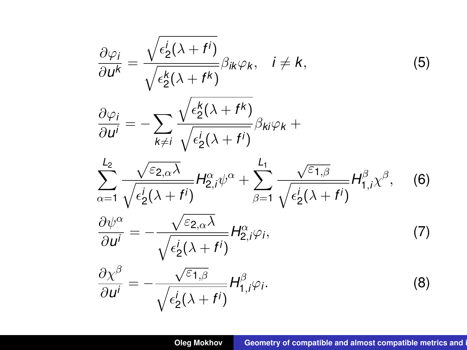$$
\frac{\partial \varphi_i}{\partial u^k} = \frac{\sqrt{\epsilon_2^i(\lambda + f^i)}}{\sqrt{\epsilon_2^k(\lambda + f^k)}} \beta_{ik} \varphi_k, \quad i \neq k,
$$
\n(5)  
\n
$$
\frac{\partial \varphi_i}{\partial u^i} = -\sum_{k \neq i} \frac{\sqrt{\epsilon_2^k(\lambda + f^k)}}{\sqrt{\epsilon_2^i(\lambda + f^i)}} \beta_{ki} \varphi_k + \sum_{\alpha=1}^{L_2} \frac{\sqrt{\epsilon_{2,\alpha}\lambda}}{\sqrt{\epsilon_2^i(\lambda + f^i)}} H_{2,i}^{\alpha} \psi^{\alpha} + \sum_{\beta=1}^{L_1} \frac{\sqrt{\epsilon_{1,\beta}}}{\sqrt{\epsilon_2^i(\lambda + f^i)}} H_{1,i}^{\beta} \chi^{\beta},
$$
\n(6)  
\n
$$
\frac{\partial \psi^{\alpha}}{\partial u^i} = -\frac{\sqrt{\epsilon_{2,\alpha}\lambda}}{\sqrt{\epsilon_2^i(\lambda + f^i)}} H_{2,i}^{\alpha} \varphi_i,
$$
\n(7)  
\n
$$
\frac{\partial \chi^{\beta}}{\partial u^i} = -\frac{\sqrt{\epsilon_{1,\beta}}}{\sqrt{\epsilon_2^i(\lambda + f^i)}} H_{1,i}^{\beta} \varphi_i.
$$
\n(8)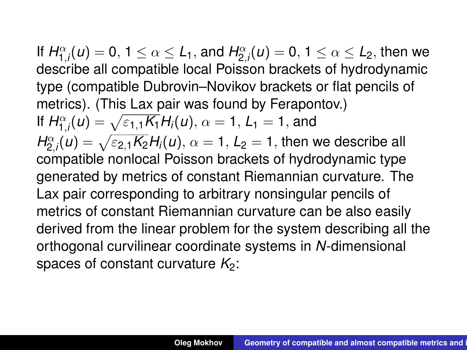If  $H_{1,i}^{\alpha}(u) = 0, 1 \leq \alpha \leq L_1$ , and  $H_{2,i}^{\alpha}(u) = 0, 1 \leq \alpha \leq L_2$ , then we describe all compatible local Poisson brackets of hydrodynamic type (compatible Dubrovin–Novikov brackets or flat pencils of metrics). (This Lax pair was found by Ferapontov.) If  $H_{1,i}^{\alpha}(u) = \sqrt{\varepsilon_{1,1} K_1} H_i(u), \, \alpha = 1, L_1 = 1,$  and  $H_{2,i}^{\alpha} (u) = \sqrt{\varepsilon_{2,1} K_2} H_i(u), \, \alpha = 1, \, L_2 = 1,$  then we describe all compatible nonlocal Poisson brackets of hydrodynamic type generated by metrics of constant Riemannian curvature. The Lax pair corresponding to arbitrary nonsingular pencils of metrics of constant Riemannian curvature can be also easily derived from the linear problem for the system describing all the orthogonal curvilinear coordinate systems in *N*-dimensional spaces of constant curvature  $K_2$ :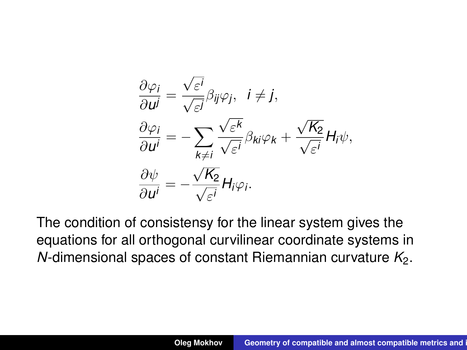$$
\frac{\partial \varphi_i}{\partial u^j} = \frac{\sqrt{\varepsilon^i}}{\sqrt{\varepsilon^j}} \beta_{ij} \varphi_j, \quad i \neq j,
$$
  

$$
\frac{\partial \varphi_i}{\partial u^i} = -\sum_{k \neq i} \frac{\sqrt{\varepsilon^k}}{\sqrt{\varepsilon^i}} \beta_{ki} \varphi_k + \frac{\sqrt{K_2}}{\sqrt{\varepsilon^i}} H_i \psi,
$$
  

$$
\frac{\partial \psi}{\partial u^i} = -\frac{\sqrt{K_2}}{\sqrt{\varepsilon^i}} H_i \varphi_i.
$$

The condition of consistensy for the linear system gives the equations for all orthogonal curvilinear coordinate systems in *N*-dimensional spaces of constant Riemannian curvature  $K_2$ .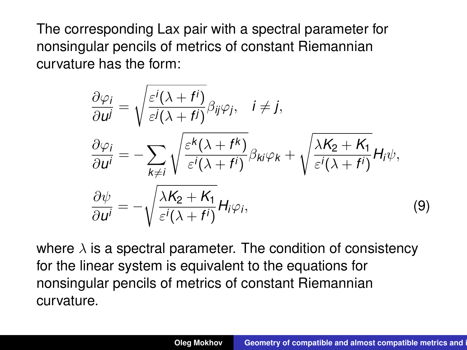The corresponding Lax pair with a spectral parameter for nonsingular pencils of metrics of constant Riemannian curvature has the form:

$$
\frac{\partial \varphi_i}{\partial u^j} = \sqrt{\frac{\varepsilon^i(\lambda + f^i)}{\varepsilon^j(\lambda + f^j)}} \beta_{ij} \varphi_j, \quad i \neq j,
$$
  

$$
\frac{\partial \varphi_i}{\partial u^i} = -\sum_{k \neq i} \sqrt{\frac{\varepsilon^k(\lambda + f^k)}{\varepsilon^i(\lambda + f^i)}} \beta_{ki} \varphi_k + \sqrt{\frac{\lambda K_2 + K_1}{\varepsilon^i(\lambda + f^i)}} H_i \psi,
$$
  

$$
\frac{\partial \psi}{\partial u^i} = -\sqrt{\frac{\lambda K_2 + K_1}{\varepsilon^i(\lambda + f^i)}} H_i \varphi_i,
$$
 (9)

where  $\lambda$  is a spectral parameter. The condition of consistency for the linear system is equivalent to the equations for nonsingular pencils of metrics of constant Riemannian curvature.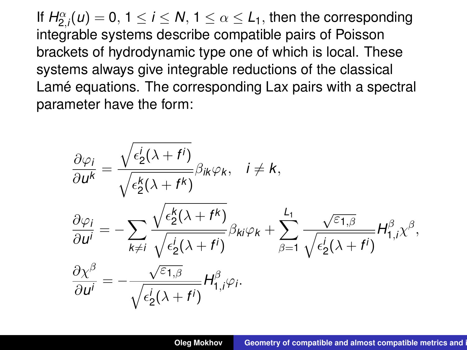If  $H_{2,i}^{\alpha}(u) = 0, \ 1 \leq i \leq N, \ 1 \leq \alpha \leq L_1,$  then the corresponding integrable systems describe compatible pairs of Poisson brackets of hydrodynamic type one of which is local. These systems always give integrable reductions of the classical Lamé equations. The corresponding Lax pairs with a spectral parameter have the form:

$$
\frac{\partial \varphi_i}{\partial u^k} = \frac{\sqrt{\epsilon_2^i(\lambda + f^i)}}{\sqrt{\epsilon_2^k(\lambda + f^k)}} \beta_{ik} \varphi_k, \quad i \neq k,
$$
\n
$$
\frac{\partial \varphi_i}{\partial u^i} = -\sum_{k \neq i} \frac{\sqrt{\epsilon_2^k(\lambda + f^k)}}{\sqrt{\epsilon_2^i(\lambda + f^i)}} \beta_{ki} \varphi_k + \sum_{\beta = 1}^{L_1} \frac{\sqrt{\epsilon_{1,\beta}}}{\sqrt{\epsilon_2^i(\lambda + f^i)}} H_{1,i}^{\beta} \chi^{\beta},
$$
\n
$$
\frac{\partial \chi^{\beta}}{\partial u^i} = -\frac{\sqrt{\epsilon_{1,\beta}}}{\sqrt{\epsilon_2^i(\lambda + f^i)}} H_{1,i}^{\beta} \varphi_i.
$$